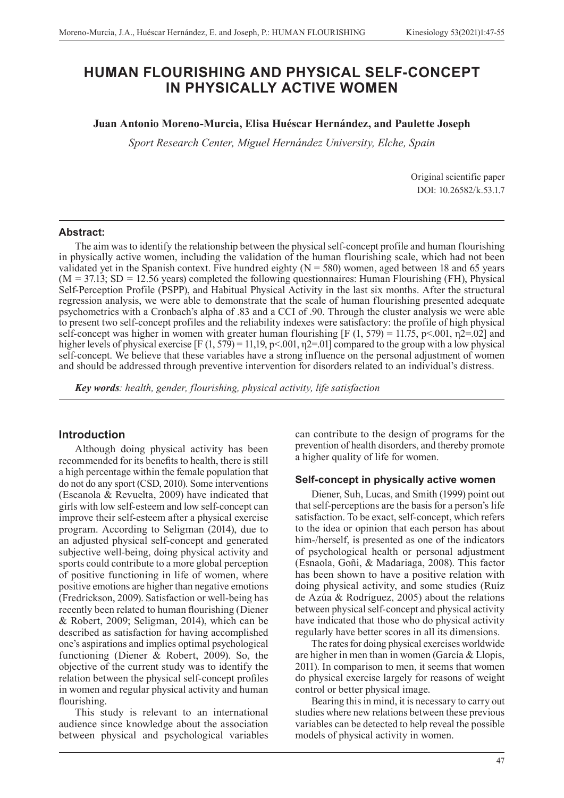# **HUMAN FLOURISHING AND PHYSICAL SELF-CONCEPT IN PHYSICALLY ACTIVE WOMEN**

### **Juan Antonio Moreno-Murcia, Elisa Huéscar Hernández, and Paulette Joseph**

*Sport Research Center, Miguel Hernández University, Elche, Spain*

Original scientific paper DOI: 10.26582/k.53.1.7

#### **Abstract:**

The aim was to identify the relationship between the physical self-concept profile and human flourishing in physically active women, including the validation of the human flourishing scale, which had not been validated yet in the Spanish context. Five hundred eighty  $(N = 580)$  women, aged between 18 and 65 years (M *=* 37.13; SD *=* 12.56 years) completed the following questionnaires: Human Flourishing (FH), Physical Self-Perception Profile (PSPP), and Habitual Physical Activity in the last six months. After the structural regression analysis, we were able to demonstrate that the scale of human flourishing presented adequate psychometrics with a Cronbach's alpha of .83 and a CCI of .90. Through the cluster analysis we were able to present two self-concept profiles and the reliability indexes were satisfactory: the profile of high physical self-concept was higher in women with greater human flourishing [F (1, 579) = 11.75, p<.001,  $\eta$ 2=.02] and higher levels of physical exercise  $[F(1, 579) = 11, 19, p < 001, \eta$ 2=.01] compared to the group with a low physical self-concept. We believe that these variables have a strong influence on the personal adjustment of women and should be addressed through preventive intervention for disorders related to an individual's distress.

*Key words: health, gender, flourishing, physical activity, life satisfaction*

#### **Introduction**

Although doing physical activity has been recommended for its benefits to health, there is still a high percentage within the female population that do not do any sport (CSD, 2010). Some interventions (Escanola & Revuelta, 2009) have indicated that girls with low self-esteem and low self-concept can improve their self-esteem after a physical exercise program. According to Seligman (2014), due to an adjusted physical self-concept and generated subjective well-being, doing physical activity and sports could contribute to a more global perception of positive functioning in life of women, where positive emotions are higher than negative emotions (Fredrickson, 2009). Satisfaction or well-being has recently been related to human flourishing (Diener & Robert, 2009; Seligman, 2014), which can be described as satisfaction for having accomplished one's aspirations and implies optimal psychological functioning (Diener & Robert, 2009). So, the objective of the current study was to identify the relation between the physical self-concept profiles in women and regular physical activity and human flourishing.

This study is relevant to an international audience since knowledge about the association between physical and psychological variables

can contribute to the design of programs for the prevention of health disorders, and thereby promote a higher quality of life for women.

#### **Self-concept in physically active women**

Diener, Suh, Lucas, and Smith (1999) point out that self-perceptions are the basis for a person's life satisfaction. To be exact, self-concept, which refers to the idea or opinion that each person has about him-/herself, is presented as one of the indicators of psychological health or personal adjustment (Esnaola, Goñi, & Madariaga, 2008). This factor has been shown to have a positive relation with doing physical activity, and some studies (Ruíz de Azúa & Rodríguez, 2005) about the relations between physical self-concept and physical activity have indicated that those who do physical activity regularly have better scores in all its dimensions.

The rates for doing physical exercises worldwide are higher in men than in women (García & Llopis, 2011). In comparison to men, it seems that women do physical exercise largely for reasons of weight control or better physical image.

Bearing this in mind, it is necessary to carry out studies where new relations between these previous variables can be detected to help reveal the possible models of physical activity in women.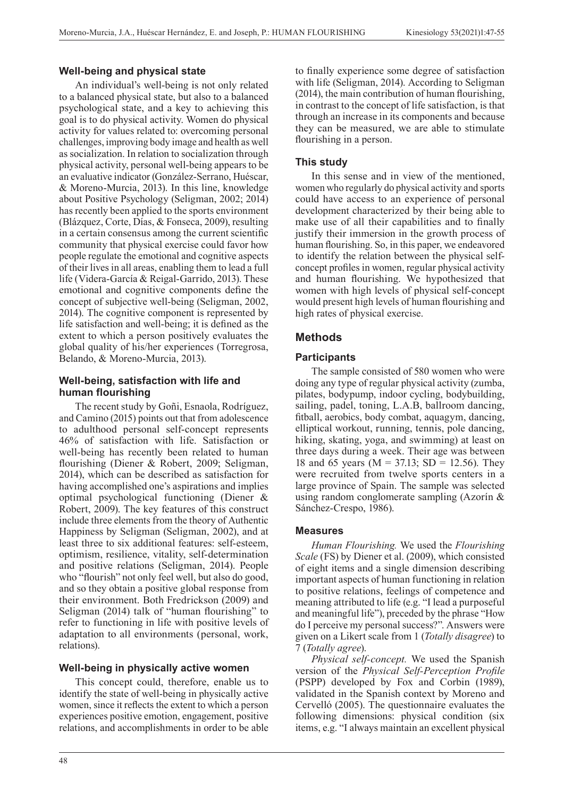# **Well-being and physical state**

An individual's well-being is not only related to a balanced physical state, but also to a balanced psychological state, and a key to achieving this goal is to do physical activity. Women do physical activity for values related to: overcoming personal challenges, improving body image and health as well as socialization. In relation to socialization through physical activity, personal well-being appears to be an evaluative indicator (González-Serrano, Huéscar, & Moreno-Murcia, 2013). In this line, knowledge about Positive Psychology (Seligman, 2002; 2014) has recently been applied to the sports environment (Blázquez, Corte, Días, & Fonseca, 2009), resulting in a certain consensus among the current scientific community that physical exercise could favor how people regulate the emotional and cognitive aspects of their lives in all areas, enabling them to lead a full life (Videra-García & Reigal-Garrido, 2013). These emotional and cognitive components define the concept of subjective well-being (Seligman, 2002, 2014). The cognitive component is represented by life satisfaction and well-being; it is defined as the extent to which a person positively evaluates the global quality of his/her experiences (Torregrosa, Belando, & Moreno-Murcia, 2013).

# **Well-being, satisfaction with life and human flourishing**

The recent study by Goñi, Esnaola, Rodríguez, and Camino (2015) points out that from adolescence to adulthood personal self-concept represents 46% of satisfaction with life. Satisfaction or well-being has recently been related to human flourishing (Diener & Robert, 2009; Seligman, 2014), which can be described as satisfaction for having accomplished one's aspirations and implies optimal psychological functioning (Diener & Robert, 2009). The key features of this construct include three elements from the theory of Authentic Happiness by Seligman (Seligman, 2002), and at least three to six additional features: self-esteem, optimism, resilience, vitality, self-determination and positive relations (Seligman, 2014). People who "flourish" not only feel well, but also do good, and so they obtain a positive global response from their environment. Both Fredrickson (2009) and Seligman (2014) talk of "human flourishing" to refer to functioning in life with positive levels of adaptation to all environments (personal, work, relations).

### **Well-being in physically active women**

This concept could, therefore, enable us to identify the state of well-being in physically active women, since it reflects the extent to which a person experiences positive emotion, engagement, positive relations, and accomplishments in order to be able

to finally experience some degree of satisfaction with life (Seligman, 2014). According to Seligman (2014), the main contribution of human flourishing, in contrast to the concept of life satisfaction, is that through an increase in its components and because they can be measured, we are able to stimulate flourishing in a person.

# **This study**

In this sense and in view of the mentioned, women who regularly do physical activity and sports could have access to an experience of personal development characterized by their being able to make use of all their capabilities and to finally justify their immersion in the growth process of human flourishing. So, in this paper, we endeavored to identify the relation between the physical selfconcept profiles in women, regular physical activity and human flourishing. We hypothesized that women with high levels of physical self-concept would present high levels of human flourishing and high rates of physical exercise.

# **Methods**

# **Participants**

The sample consisted of 580 women who were doing any type of regular physical activity (zumba, pilates, bodypump, indoor cycling, bodybuilding, sailing, padel, toning, L.A.B, ballroom dancing, fitball, aerobics, body combat, aquagym, dancing, elliptical workout, running, tennis, pole dancing, hiking, skating, yoga, and swimming) at least on three days during a week. Their age was between 18 and 65 years ( $M = 37.13$ ; SD = 12.56). They were recruited from twelve sports centers in a large province of Spain. The sample was selected using random conglomerate sampling (Azorín & Sánchez-Crespo, 1986).

### **Measures**

*Human Flourishing.* We used the *Flourishing Scale* (FS) by Diener et al. (2009), which consisted of eight items and a single dimension describing important aspects of human functioning in relation to positive relations, feelings of competence and meaning attributed to life (e.g. "I lead a purposeful and meaningful life"), preceded by the phrase "How do I perceive my personal success?". Answers were given on a Likert scale from 1 (*Totally disagree*) to 7 (*Totally agree*).

*Physical self-concept.* We used the Spanish version of the *Physical Self-Perception Profile* (PSPP) developed by Fox and Corbin (1989), validated in the Spanish context by Moreno and Cervelló (2005). The questionnaire evaluates the following dimensions: physical condition (six items, e.g. "I always maintain an excellent physical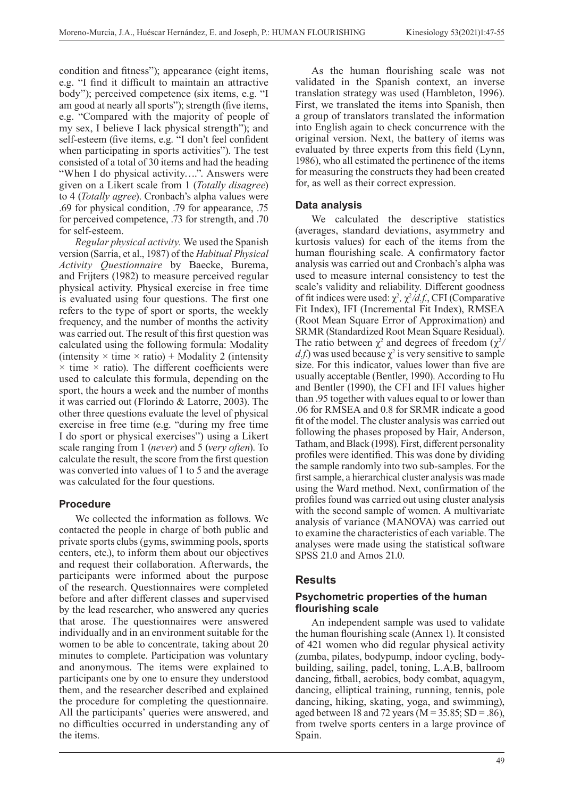condition and fitness"); appearance (eight items, e.g. "I find it difficult to maintain an attractive body"); perceived competence (six items, e.g. "I am good at nearly all sports"); strength (five items, e.g. "Compared with the majority of people of my sex, I believe I lack physical strength"); and self-esteem (five items, e.g. "I don't feel confident when participating in sports activities"). The test consisted of a total of 30 items and had the heading "When I do physical activity....". Answers were given on a Likert scale from 1 (*Totally disagree*) to 4 (*Totally agree*). Cronbach's alpha values were .69 for physical condition, .79 for appearance, .75 for perceived competence, .73 for strength, and .70 for self-esteem.

*Regular physical activity.* We used the Spanish version (Sarria, et al., 1987) of the *Habitual Physical Activity Questionnaire* by Baecke, Burema, and Frijters (1982) to measure perceived regular physical activity. Physical exercise in free time is evaluated using four questions. The first one refers to the type of sport or sports, the weekly frequency, and the number of months the activity was carried out. The result of this first question was calculated using the following formula: Modality (intensity  $\times$  time  $\times$  ratio) + Modality 2 (intensity  $\times$  time  $\times$  ratio). The different coefficients were used to calculate this formula, depending on the sport, the hours a week and the number of months it was carried out (Florindo & Latorre, 2003). The other three questions evaluate the level of physical exercise in free time (e.g. "during my free time I do sport or physical exercises") using a Likert scale ranging from 1 (*never*) and 5 (*very often*). To calculate the result, the score from the first question was converted into values of 1 to 5 and the average was calculated for the four questions.

### **Procedure**

We collected the information as follows. We contacted the people in charge of both public and private sports clubs (gyms, swimming pools, sports centers, etc.), to inform them about our objectives and request their collaboration. Afterwards, the participants were informed about the purpose of the research. Questionnaires were completed before and after different classes and supervised by the lead researcher, who answered any queries that arose. The questionnaires were answered individually and in an environment suitable for the women to be able to concentrate, taking about 20 minutes to complete. Participation was voluntary and anonymous. The items were explained to participants one by one to ensure they understood them, and the researcher described and explained the procedure for completing the questionnaire. All the participants' queries were answered, and no difficulties occurred in understanding any of the items.

As the human flourishing scale was not validated in the Spanish context, an inverse translation strategy was used (Hambleton, 1996). First, we translated the items into Spanish, then a group of translators translated the information into English again to check concurrence with the original version. Next, the battery of items was evaluated by three experts from this field (Lynn, 1986), who all estimated the pertinence of the items for measuring the constructs they had been created for, as well as their correct expression.

# **Data analysis**

We calculated the descriptive statistics (averages, standard deviations, asymmetry and kurtosis values) for each of the items from the human flourishing scale. A confirmatory factor analysis was carried out and Cronbach's alpha was used to measure internal consistency to test the scale's validity and reliability. Different goodness of fit indices were used:  $\chi^2$ ,  $\chi^2/d.f$ , CFI (Comparative Fit Index), IFI (Incremental Fit Index), RMSEA (Root Mean Square Error of Approximation) and SRMR (Standardized Root Mean Square Residual). The ratio between  $\chi^2$  and degrees of freedom  $(\chi^2)$ *d.f.*) was used because  $\chi^2$  is very sensitive to sample size. For this indicator, values lower than five are usually acceptable (Bentler, 1990). According to Hu and Bentler (1990), the CFI and IFI values higher than .95 together with values equal to or lower than .06 for RMSEA and 0.8 for SRMR indicate a good fit of the model. The cluster analysis was carried out following the phases proposed by Hair, Anderson, Tatham, and Black (1998). First, different personality profiles were identified. This was done by dividing the sample randomly into two sub-samples. For the first sample, a hierarchical cluster analysis was made using the Ward method. Next, confirmation of the profiles found was carried out using cluster analysis with the second sample of women. A multivariate analysis of variance (MANOVA) was carried out to examine the characteristics of each variable. The analyses were made using the statistical software SPSS 21.0 and Amos 21.0.

# **Results**

### **Psychometric properties of the human flourishing scale**

An independent sample was used to validate the human flourishing scale (Annex 1). It consisted of 421 women who did regular physical activity (zumba, pilates, bodypump, indoor cycling, bodybuilding, sailing, padel, toning, L.A.B, ballroom dancing, fitball, aerobics, body combat, aquagym, dancing, elliptical training, running, tennis, pole dancing, hiking, skating, yoga, and swimming), aged between 18 and 72 years ( $M = 35.85$ ; SD = .86), from twelve sports centers in a large province of Spain.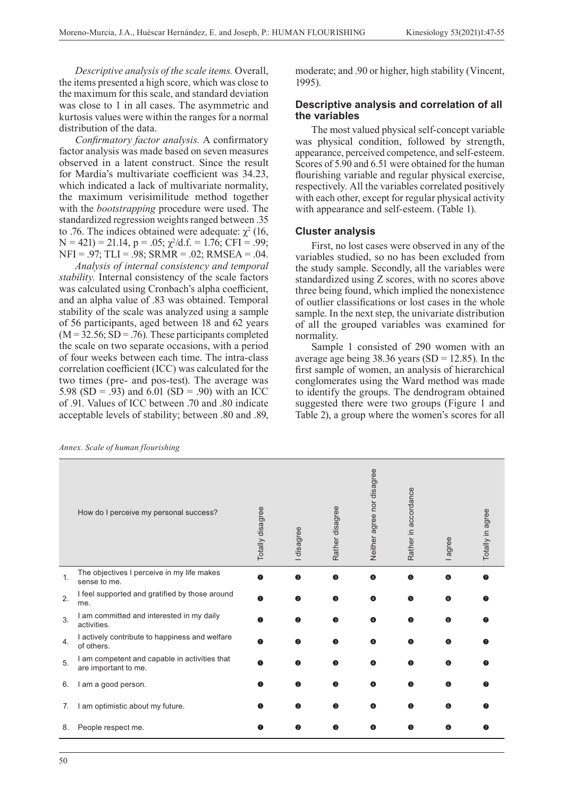*Descriptive analysis of the scale items.* Overall, the items presented a high score, which was close to the maximum for this scale, and standard deviation was close to 1 in all cases. The asymmetric and kurtosis values were within the ranges for a normal distribution of the data.

*Confirmatory factor analysis.* A confirmatory factor analysis was made based on seven measures observed in a latent construct. Since the result for Mardia's multivariate coefficient was 34.23, which indicated a lack of multivariate normality, the maximum verisimilitude method together with the *bootstrapping* procedure were used. The standardized regression weights ranged between .35 to .76. The indices obtained were adequate:  $\chi^2$  (16,  $N = 421$ ) = 21.14, p = .05;  $\chi^2$ /d.f. = 1.76; CFI = .99; NFI = .97; TLI = .98; SRMR = .02; RMSEA = .04.

*Analysis of internal consistency and temporal stability.* Internal consistency of the scale factors was calculated using Cronbach's alpha coefficient, and an alpha value of .83 was obtained. Temporal stability of the scale was analyzed using a sample of 56 participants, aged between 18 and 62 years  $(M = 32.56; SD = .76)$ . These participants completed the scale on two separate occasions, with a period of four weeks between each time. The intra-class correlation coefficient (ICC) was calculated for the two times (pre- and pos-test). The average was 5.98 (SD = .93) and 6.01 (SD = .90) with an ICC of .91. Values of ICC between .70 and .80 indicate acceptable levels of stability; between .80 and .89,

*Annex. Scale of human flourishing*

moderate; and .90 or higher, high stability (Vincent, 1995).

#### **Descriptive analysis and correlation of all the variables**

The most valued physical self-concept variable was physical condition, followed by strength, appearance, perceived competence, and self-esteem. Scores of 5.90 and 6.51 were obtained for the human flourishing variable and regular physical exercise, respectively. All the variables correlated positively with each other, except for regular physical activity with appearance and self-esteem. (Table 1).

#### **Cluster analysis**

First, no lost cases were observed in any of the variables studied, so no has been excluded from the study sample. Secondly, all the variables were standardized using Z scores, with no scores above three being found, which implied the nonexistence of outlier classifications or lost cases in the whole sample. In the next step, the univariate distribution of all the grouped variables was examined for normality.

Sample 1 consisted of 290 women with an average age being  $38.36$  years (SD = 12.85). In the first sample of women, an analysis of hierarchical conglomerates using the Ward method was made to identify the groups. The dendrogram obtained suggested there were two groups (Figure 1 and Table 2), a group where the women's scores for all

|    | How do I perceive my personal success?                                | Totally disagree | I disagree | Rather disagree | Neither agree nor disagree | Rather in accordance | agree | Totally in agree |
|----|-----------------------------------------------------------------------|------------------|------------|-----------------|----------------------------|----------------------|-------|------------------|
| 1. | The objectives I perceive in my life makes<br>sense to me.            | 6                | 2          | ❸               | $\bullet$                  | 6                    | 6     |                  |
| 2. | I feel supported and gratified by those around<br>me.                 | O                | 0          | ❸               | A                          | 6                    | 6     |                  |
| 3. | I am committed and interested in my daily<br>activities.              | O                | 0          | ❸               | A                          | 6                    | 6     |                  |
| 4. | I actively contribute to happiness and welfare<br>of others.          | ⋒                | Q          | ❸               | A                          | G                    | G     |                  |
| 5. | I am competent and capable in activities that<br>are important to me. | A                | 2          | ❸               | A                          | A                    | G     |                  |
| 6. | I am a good person.                                                   | Ω                | $\bullet$  | ❸               | ❹                          | 6                    | 6     |                  |
| 7. | am optimistic about my future.                                        |                  | ◙          | 6               | A                          | G                    | 6     |                  |
| 8. | People respect me.                                                    | Œ                | ❷          | ❸               | Ø                          | G                    | 6     |                  |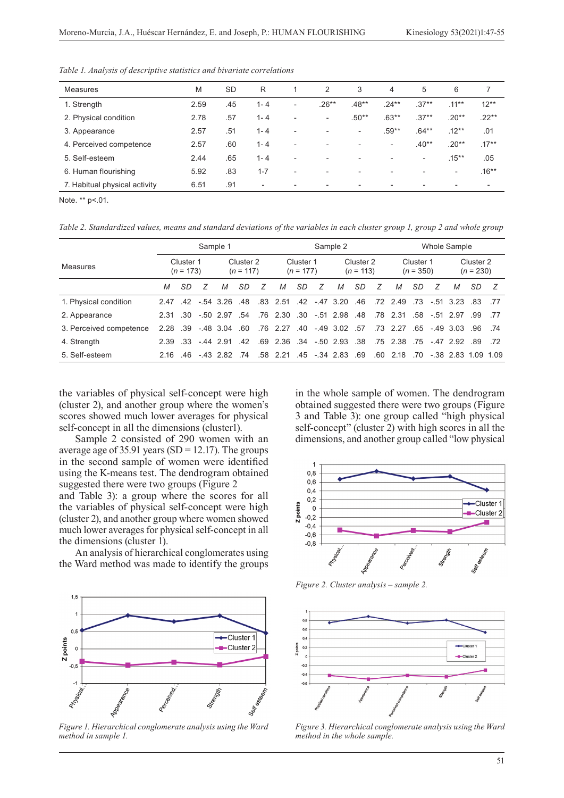| <b>Measures</b>               | M    | <b>SD</b> | R                        |                          | 2                        | 3                        | 4                        | 5                        | 6                        |                          |
|-------------------------------|------|-----------|--------------------------|--------------------------|--------------------------|--------------------------|--------------------------|--------------------------|--------------------------|--------------------------|
| 1. Strength                   | 2.59 | .45       | $1 - 4$                  | $\overline{\phantom{a}}$ | $.26**$                  | $.48**$                  | $.24***$                 | $.37**$                  | $.11***$                 | $12**$                   |
| 2. Physical condition         | 2.78 | .57       | $1 - 4$                  | $\overline{\phantom{a}}$ | $\overline{\phantom{0}}$ | $.50**$                  | $.63**$                  | $.37**$                  | $.20**$                  | $.22**$                  |
| 3. Appearance                 | 2.57 | .51       | $1 - 4$                  | $\overline{\phantom{a}}$ |                          | $\overline{\phantom{a}}$ | $.59**$                  | $.64***$                 | $.12***$                 | .01                      |
| 4. Perceived competence       | 2.57 | .60       | $1 - 4$                  | $\overline{\phantom{a}}$ | $\overline{\phantom{a}}$ | $\overline{\phantom{a}}$ | $\overline{\phantom{0}}$ | $.40**$                  | $.20**$                  | $.17***$                 |
| 5. Self-esteem                | 2.44 | .65       | $1 - 4$                  | $\overline{\phantom{a}}$ | $\overline{\phantom{a}}$ | $\overline{\phantom{a}}$ | $\qquad \qquad$          | $\overline{\phantom{a}}$ | $.15***$                 | .05                      |
| 6. Human flourishing          | 5.92 | .83       | $1 - 7$                  | $\overline{\phantom{0}}$ | $\overline{\phantom{a}}$ | $\overline{\phantom{a}}$ |                          | $\overline{\phantom{a}}$ | $\overline{\phantom{a}}$ | $.16**$                  |
| 7. Habitual physical activity | 6.51 | .91       | $\overline{\phantom{a}}$ |                          | $\overline{\phantom{a}}$ | ۰                        |                          | $\overline{\phantom{0}}$ |                          | $\overline{\phantom{0}}$ |
|                               |      |           |                          |                          |                          |                          |                          |                          |                          |                          |

*Table 1. Analysis of descriptive statistics and bivariate correlations* 

Note. \*\* p<.01.

*Table 2. Standardized values, means and standard deviations of the variables in each cluster group 1, group 2 and whole group*

|                         |                              | Sample 1  |   |                                     |           |                          | Sample 2                   |                          |   |                          |           | Whole Sample             |                         |    |   |             |      |      |
|-------------------------|------------------------------|-----------|---|-------------------------------------|-----------|--------------------------|----------------------------|--------------------------|---|--------------------------|-----------|--------------------------|-------------------------|----|---|-------------|------|------|
| Measures                | Cluster 1<br>$(n = 173)$     |           |   | Cluster <sub>2</sub><br>$(n = 117)$ |           | Cluster 1<br>$(n = 177)$ |                            | Cluster 2<br>$(n = 113)$ |   | Cluster 1<br>$(n = 350)$ |           | Cluster 2<br>$(n = 230)$ |                         |    |   |             |      |      |
|                         | М                            | <b>SD</b> | 7 | M                                   | <b>SD</b> | 7                        | М                          | <b>SD</b>                | 7 | M                        | <b>SD</b> | 7                        | М                       | SD | 7 | M           | SD.  |      |
| 1. Physical condition   | 2.47                         |           |   | $.42 - 54$ 3.26                     | .48       |                          | .83 2.51                   | 42                       |   | $-47$ 3.20               | .46       |                          | 72 2.49 73              |    |   | $-51$ 3.23  | - 83 | - 77 |
| 2. Appearance           |                              |           |   | 2.31 30 - 50 2.97 54                |           |                          | .76 2.30 .30 -.51 2.98 .48 |                          |   |                          |           |                          | 78 2.31 58 - 51 2.97    |    |   |             | - 99 | - 77 |
| 3. Perceived competence | $2.28 \t .39 \t -48 \t 3.04$ |           |   |                                     | .60       |                          | .76 2.27 .40 -.49 3.02 .57 |                          |   |                          |           |                          | 73 2.27 65 -49 3.03     |    |   |             | 96   | - 74 |
| 4. Strength             | 2.39                         |           |   | $.33 - 44$ 2.91                     | 42        |                          | 69 2.36 34 - 50 2.93 38    |                          |   |                          |           |                          | 75 2.38 75 - 47 2.92 89 |    |   |             |      | - 72 |
| 5. Self-esteem          |                              |           |   | 216 46 -43 282 74                   |           |                          | 58 2.21 45 - 34 2.83 69    |                          |   |                          |           |                          | .60 2.18 .70            |    |   | -38 283 109 |      | 1.09 |

the variables of physical self-concept were high (cluster 2), and another group where the women's scores showed much lower averages for physical self-concept in all the dimensions (cluster1).

Sample 2 consisted of 290 women with an average age of 35.91 years (SD = 12.17). The groups in the second sample of women were identified using the K-means test. The dendrogram obtained suggested there were two groups (Figure 2 and Table 3): a group where the scores for all

the variables of physical self-concept were high (cluster 2), and another group where women showed much lower averages for physical self-concept in all the dimensions (cluster 1).

An analysis of hierarchical conglomerates using the Ward method was made to identify the groups



*Figure 1. Hierarchical conglomerate analysis using the Ward method in sample 1.*

in the whole sample of women. The dendrogram obtained suggested there were two groups (Figure 3 and Table 3): one group called "high physical self-concept" (cluster 2) with high scores in all the dimensions, and another group called "low physical



*Figure 2. Cluster analysis – sample 2.*



*Figure 3. Hierarchical conglomerate analysis using the Ward method in the whole sample.*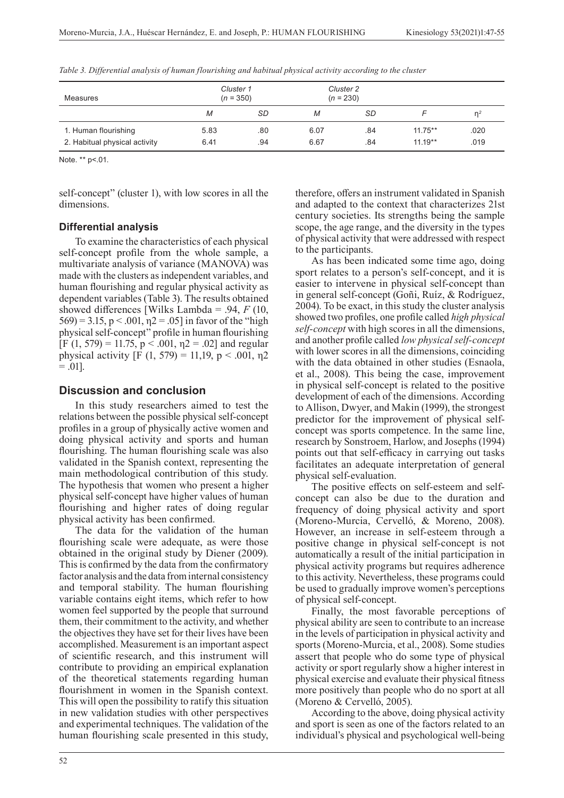| Measures                      | Cluster 1<br>$(n = 350)$ |     | Cluster 2<br>$(n = 230)$ |     |           |                |
|-------------------------------|--------------------------|-----|--------------------------|-----|-----------|----------------|
|                               | SD<br>M                  |     | М                        | SD  |           | n <sup>2</sup> |
| 1. Human flourishing          | 5.83                     | .80 | 6.07                     | .84 | $11.75**$ | .020           |
| 2. Habitual physical activity | 6.41                     | .94 | 6.67                     | .84 | $11.19**$ | .019           |

*Table 3. Differential analysis of human flourishing and habitual physical activity according to the cluster*

Note. \*\* p<.01.

self-concept" (cluster 1), with low scores in all the dimensions.

#### **Differential analysis**

To examine the characteristics of each physical self-concept profile from the whole sample, a multivariate analysis of variance (MANOVA) was made with the clusters as independent variables, and human flourishing and regular physical activity as dependent variables (Table 3). The results obtained showed differences [Wilks Lambda = .94, *F* (10,  $569$ ) = 3.15, p < .001,  $\eta$ 2 = .05] in favor of the "high physical self-concept" profile in human flourishing [F (1, 579) = 11.75,  $p < .001$ ,  $n2 = .02$ ] and regular physical activity [F (1, 579) = 11,19, p < .001,  $n2$  $= .01$ ].

### **Discussion and conclusion**

In this study researchers aimed to test the relations between the possible physical self-concept profiles in a group of physically active women and doing physical activity and sports and human flourishing. The human flourishing scale was also validated in the Spanish context, representing the main methodological contribution of this study. The hypothesis that women who present a higher physical self-concept have higher values of human flourishing and higher rates of doing regular physical activity has been confirmed.

The data for the validation of the human flourishing scale were adequate, as were those obtained in the original study by Diener (2009). This is confirmed by the data from the confirmatory factor analysis and the data from internal consistency and temporal stability. The human flourishing variable contains eight items, which refer to how women feel supported by the people that surround them, their commitment to the activity, and whether the objectives they have set for their lives have been accomplished. Measurement is an important aspect of scientific research, and this instrument will contribute to providing an empirical explanation of the theoretical statements regarding human flourishment in women in the Spanish context. This will open the possibility to ratify this situation in new validation studies with other perspectives and experimental techniques. The validation of the human flourishing scale presented in this study,

therefore, offers an instrument validated in Spanish and adapted to the context that characterizes 21st century societies. Its strengths being the sample scope, the age range, and the diversity in the types of physical activity that were addressed with respect to the participants.

As has been indicated some time ago, doing sport relates to a person's self-concept, and it is easier to intervene in physical self-concept than in general self-concept (Goñi, Ruíz, & Rodríguez, 2004). To be exact, in this study the cluster analysis showed two profiles, one profile called *high physical self-concept* with high scores in all the dimensions, and another profile called *low physical self-concept* with lower scores in all the dimensions, coinciding with the data obtained in other studies (Esnaola, et al., 2008). This being the case, improvement in physical self-concept is related to the positive development of each of the dimensions. According to Allison, Dwyer, and Makin (1999), the strongest predictor for the improvement of physical selfconcept was sports competence. In the same line, research by Sonstroem, Harlow, and Josephs (1994) points out that self-efficacy in carrying out tasks facilitates an adequate interpretation of general physical self-evaluation.

The positive effects on self-esteem and selfconcept can also be due to the duration and frequency of doing physical activity and sport (Moreno-Murcia, Cervelló, & Moreno, 2008). However, an increase in self-esteem through a positive change in physical self-concept is not automatically a result of the initial participation in physical activity programs but requires adherence to this activity. Nevertheless, these programs could be used to gradually improve women's perceptions of physical self-concept.

Finally, the most favorable perceptions of physical ability are seen to contribute to an increase in the levels of participation in physical activity and sports (Moreno-Murcia, et al., 2008). Some studies assert that people who do some type of physical activity or sport regularly show a higher interest in physical exercise and evaluate their physical fitness more positively than people who do no sport at all (Moreno & Cervelló, 2005).

According to the above, doing physical activity and sport is seen as one of the factors related to an individual's physical and psychological well-being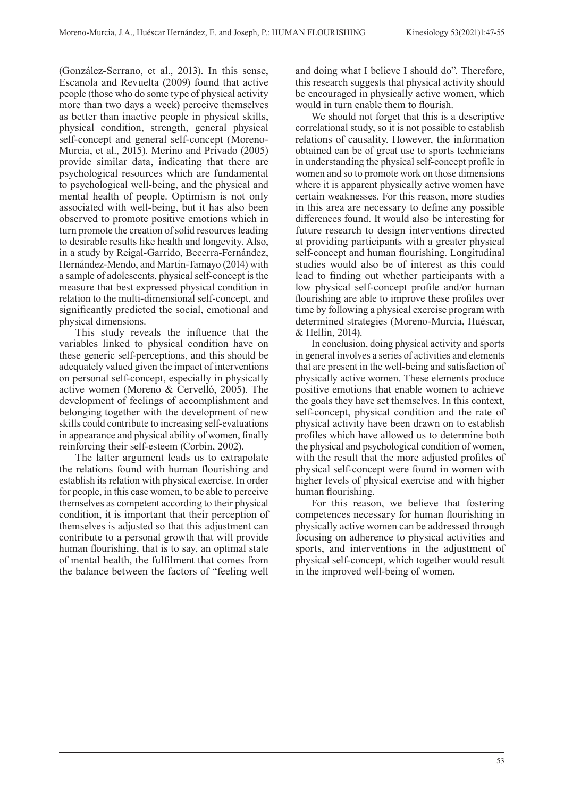(González-Serrano, et al., 2013). In this sense, Escanola and Revuelta (2009) found that active people (those who do some type of physical activity more than two days a week) perceive themselves as better than inactive people in physical skills, physical condition, strength, general physical self-concept and general self-concept (Moreno-Murcia, et al., 2015). Merino and Privado (2005) provide similar data, indicating that there are psychological resources which are fundamental to psychological well-being, and the physical and mental health of people. Optimism is not only associated with well-being, but it has also been observed to promote positive emotions which in turn promote the creation of solid resources leading to desirable results like health and longevity. Also, in a study by Reigal-Garrido, Becerra-Fernández, Hernández-Mendo, and Martín-Tamayo (2014) with a sample of adolescents, physical self-concept is the measure that best expressed physical condition in relation to the multi-dimensional self-concept, and significantly predicted the social, emotional and physical dimensions.

This study reveals the influence that the variables linked to physical condition have on these generic self-perceptions, and this should be adequately valued given the impact of interventions on personal self-concept, especially in physically active women (Moreno & Cervelló, 2005). The development of feelings of accomplishment and belonging together with the development of new skills could contribute to increasing self-evaluations in appearance and physical ability of women, finally reinforcing their self-esteem (Corbin, 2002).

The latter argument leads us to extrapolate the relations found with human flourishing and establish its relation with physical exercise. In order for people, in this case women, to be able to perceive themselves as competent according to their physical condition, it is important that their perception of themselves is adjusted so that this adjustment can contribute to a personal growth that will provide human flourishing, that is to say, an optimal state of mental health, the fulfilment that comes from the balance between the factors of "feeling well and doing what I believe I should do". Therefore, this research suggests that physical activity should be encouraged in physically active women, which would in turn enable them to flourish.

We should not forget that this is a descriptive correlational study, so it is not possible to establish relations of causality. However, the information obtained can be of great use to sports technicians in understanding the physical self-concept profile in women and so to promote work on those dimensions where it is apparent physically active women have certain weaknesses. For this reason, more studies in this area are necessary to define any possible differences found. It would also be interesting for future research to design interventions directed at providing participants with a greater physical self-concept and human flourishing. Longitudinal studies would also be of interest as this could lead to finding out whether participants with a low physical self-concept profile and/or human flourishing are able to improve these profiles over time by following a physical exercise program with determined strategies (Moreno-Murcia, Huéscar, & Hellín, 2014).

In conclusion, doing physical activity and sports in general involves a series of activities and elements that are present in the well-being and satisfaction of physically active women. These elements produce positive emotions that enable women to achieve the goals they have set themselves. In this context, self-concept, physical condition and the rate of physical activity have been drawn on to establish profiles which have allowed us to determine both the physical and psychological condition of women, with the result that the more adjusted profiles of physical self-concept were found in women with higher levels of physical exercise and with higher human flourishing.

For this reason, we believe that fostering competences necessary for human flourishing in physically active women can be addressed through focusing on adherence to physical activities and sports, and interventions in the adjustment of physical self-concept, which together would result in the improved well-being of women.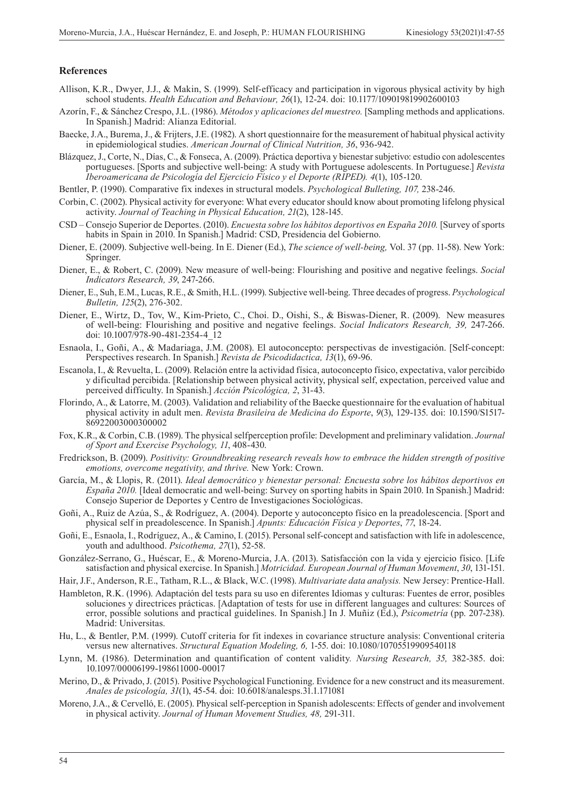#### **References**

- Allison, K.R., Dwyer, J.J., & Makin, S. (1999). Self-efficacy and participation in vigorous physical activity by high school students. *Health Education and Behaviour, 26*(1), 12-24. doi: 10.1177/109019819902600103
- Azorín, F., & Sánchez Crespo, J.L. (1986). *Métodos y aplicaciones del muestreo.* [Sampling methods and applications. In Spanish.] Madrid: Alianza Editorial.
- Baecke, J.A., Burema, J., & Frijters, J.E. (1982). A short questionnaire for the measurement of habitual physical activity in epidemiological studies. *American Journal of Clinical Nutrition, 36*, 936-942.
- Blázquez, J., Corte, N., Días, C., & Fonseca, A. (2009). Práctica deportiva y bienestar subjetivo: estudio con adolescentes portugueses. [Sports and subjective well-being: A study with Portuguese adolescents. In Portuguese.] *Revista Iberoamericana de Psicología del Ejercicio Físico y el Deporte (RIPED). 4*(1), 105-120.
- Bentler, P. (1990). Comparative fix indexes in structural models. *Psychological Bulleting, 107,* 238-246.
- Corbin, C. (2002). Physical activity for everyone: What every educator should know about promoting lifelong physical activity. *Journal of Teaching in Physical Education, 21*(2), 128-145.
- CSD Consejo Superior de Deportes. (2010). *Encuesta sobre los hábitos deportivos en España 2010.* [Survey of sports habits in Spain in 2010. In Spanish.] Madrid: CSD, Presidencia del Gobierno.
- Diener, E. (2009). Subjective well-being. In E. Diener (Ed.), *The science of well-being,* Vol. 37 (pp. 11-58). New York: Springer.
- Diener, E., & Robert, C. (2009). New measure of well-being: Flourishing and positive and negative feelings. *Social Indicators Research, 39*, 247-266.
- Diener, E., Suh, E.M., Lucas, R.E., & Smith, H.L. (1999). Subjective well-being. Three decades of progress. *Psychological Bulletin, 125*(2), 276-302.
- Diener, E., Wirtz, D., Tov, W., Kim-Prieto, C., Choi. D., Oishi, S., & Biswas-Diener, R. (2009). New measures of well-being: Flourishing and positive and negative feelings. *Social Indicators Research, 39,* 247-266. doi: 10.1007/978-90-481-2354-4\_12
- Esnaola, I., Goñi, A., & Madariaga, J.M. (2008). El autoconcepto: perspectivas de investigación. [Self-concept: Perspectives research. In Spanish.] *Revista de Psicodidactica, 13*(1), 69-96.
- Escanola, I., & Revuelta, L. (2009). Relación entre la actividad física, autoconcepto físico, expectativa, valor percibido y dificultad percibida. [Relationship between physical activity, physical self, expectation, perceived value and perceived difficulty. In Spanish.] *Acción Psicológica, 2*, 31-43.
- Florindo, A., & Latorre, M. (2003). Validation and reliability of the Baecke questionnaire for the evaluation of habitual physical activity in adult men. *Revista Brasileira de Medicina do Esporte*, *9*(3), 129-135. doi: 10.1590/S1517- 86922003000300002
- Fox, K.R., & Corbin, C.B. (1989). The physical selfperception profile: Development and preliminary validation. *Journal of Sport and Exercise Psychology, 11*, 408-430.
- Fredrickson, B. (2009). *Positivity: Groundbreaking research reveals how to embrace the hidden strength of positive emotions, overcome negativity, and thrive.* New York: Crown.
- García, M., & Llopis, R. (2011). *Ideal democrático y bienestar personal: Encuesta sobre los hábitos deportivos en España 2010.* [Ideal democratic and well-being: Survey on sporting habits in Spain 2010. In Spanish.] Madrid: Consejo Superior de Deportes y Centro de Investigaciones Sociológicas.
- Goñi, A., Ruiz de Azúa, S., & Rodríguez, A. (2004). Deporte y autoconcepto físico en la preadolescencia. [Sport and physical self in preadolescence. In Spanish.] *Apunts: Educación Física y Deportes*, *77*, 18-24.
- Goñi, E., Esnaola, I., Rodríguez, A., & Camino, I. (2015). Personal self-concept and satisfaction with life in adolescence, youth and adulthood. *Psicothema, 27*(1), 52-58.
- González-Serrano, G., Huéscar, E., & Moreno-Murcia, J.A. (2013). Satisfacción con la vida y ejercicio físico. [Life satisfaction and physical exercise. In Spanish.] *Motricidad. European Journal of Human Movement*, *30*, 131-151.
- Hair, J.F., Anderson, R.E., Tatham, R.L., & Black, W.C. (1998). *Multivariate data analysis.* New Jersey: Prentice-Hall.
- Hambleton, R.K. (1996). Adaptación del tests para su uso en diferentes Idiomas y culturas: Fuentes de error, posibles soluciones y directrices prácticas. [Adaptation of tests for use in different languages and cultures: Sources of error, possible solutions and practical guidelines. In Spanish.] In J. Muñiz (Ed.), *Psicometría* (pp. 207-238). Madrid: Universitas.
- Hu, L., & Bentler, P.M. (1999). Cutoff criteria for fit indexes in covariance structure analysis: Conventional criteria versus new alternatives. *Structural Equation Modeling, 6,* 1-55. doi: 10.1080/10705519909540118
- Lynn, M. (1986). Determination and quantification of content validity*. Nursing Research, 35,* 382-385. doi: 10.1097/00006199-198611000-00017
- Merino, D., & Privado, J. (2015). Positive Psychological Functioning. Evidence for a new construct and its measurement. *Anales de psicología, 31*(1), 45-54. doi: 10.6018/analesps.31.1.171081
- Moreno, J.A., & Cervelló, E. (2005). Physical self-perception in Spanish adolescents: Effects of gender and involvement in physical activity. *Journal of Human Movement Studies, 48,* 291-311.